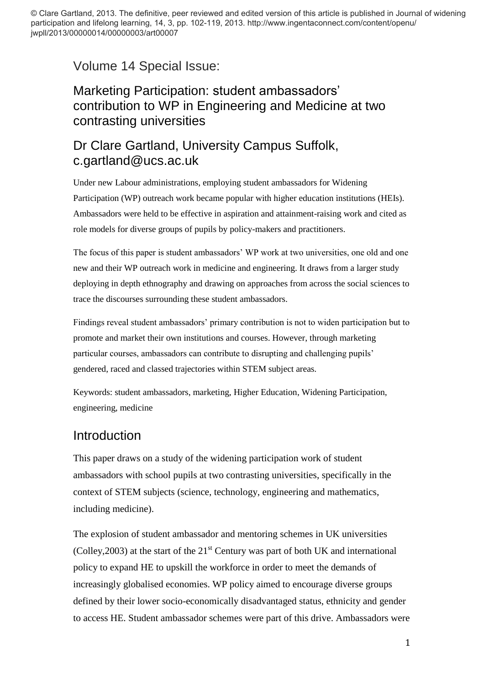© Clare Gartland, 2013. The definitive, peer reviewed and edited version of this article is published in Journal of widening participation and lifelong learning, 14, 3, pp. 102-119, 2013. http://www.ingentaconnect.com/content/openu/ jwpll/2013/00000014/00000003/art00007

Volume 14 Special Issue:

# Marketing Participation: student ambassadors' contribution to WP in Engineering and Medicine at two contrasting universities

# Dr Clare Gartland, University Campus Suffolk, c.gartland@ucs.ac.uk

Under new Labour administrations, employing student ambassadors for Widening Participation (WP) outreach work became popular with higher education institutions (HEIs). Ambassadors were held to be effective in aspiration and attainment-raising work and cited as role models for diverse groups of pupils by policy-makers and practitioners.

The focus of this paper is student ambassadors' WP work at two universities, one old and one new and their WP outreach work in medicine and engineering. It draws from a larger study deploying in depth ethnography and drawing on approaches from across the social sciences to trace the discourses surrounding these student ambassadors.

Findings reveal student ambassadors' primary contribution is not to widen participation but to promote and market their own institutions and courses. However, through marketing particular courses, ambassadors can contribute to disrupting and challenging pupils' gendered, raced and classed trajectories within STEM subject areas.

Keywords: student ambassadors, marketing, Higher Education, Widening Participation, engineering, medicine

## Introduction

This paper draws on a study of the widening participation work of student ambassadors with school pupils at two contrasting universities, specifically in the context of STEM subjects (science, technology, engineering and mathematics, including medicine).

The explosion of student ambassador and mentoring schemes in UK universities (Colley, 2003) at the start of the  $21<sup>st</sup>$  Century was part of both UK and international policy to expand HE to upskill the workforce in order to meet the demands of increasingly globalised economies. WP policy aimed to encourage diverse groups defined by their lower socio-economically disadvantaged status, ethnicity and gender to access HE. Student ambassador schemes were part of this drive. Ambassadors were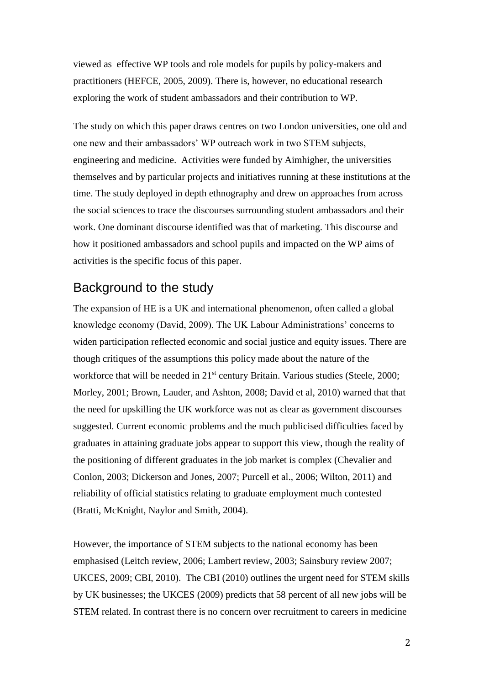viewed as effective WP tools and role models for pupils by policy-makers and practitioners (HEFCE, 2005, 2009). There is, however, no educational research exploring the work of student ambassadors and their contribution to WP.

The study on which this paper draws centres on two London universities, one old and one new and their ambassadors' WP outreach work in two STEM subjects, engineering and medicine. Activities were funded by Aimhigher, the universities themselves and by particular projects and initiatives running at these institutions at the time. The study deployed in depth ethnography and drew on approaches from across the social sciences to trace the discourses surrounding student ambassadors and their work. One dominant discourse identified was that of marketing. This discourse and how it positioned ambassadors and school pupils and impacted on the WP aims of activities is the specific focus of this paper.

### Background to the study

The expansion of HE is a UK and international phenomenon, often called a global knowledge economy (David, 2009). The UK Labour Administrations' concerns to widen participation reflected economic and social justice and equity issues. There are though critiques of the assumptions this policy made about the nature of the workforce that will be needed in 21<sup>st</sup> century Britain. Various studies (Steele, 2000; Morley, 2001; Brown, Lauder, and Ashton, 2008; David et al, 2010) warned that that the need for upskilling the UK workforce was not as clear as government discourses suggested. Current economic problems and the much publicised difficulties faced by graduates in attaining graduate jobs appear to support this view, though the reality of the positioning of different graduates in the job market is complex (Chevalier and Conlon, 2003; Dickerson and Jones, 2007; Purcell et al., 2006; Wilton, 2011) and reliability of official statistics relating to graduate employment much contested (Bratti, McKnight, Naylor and Smith, 2004).

However, the importance of STEM subjects to the national economy has been emphasised (Leitch review, 2006; Lambert review, 2003; Sainsbury review 2007; UKCES, 2009; CBI, 2010). The CBI (2010) outlines the urgent need for STEM skills by UK businesses; the UKCES (2009) predicts that 58 percent of all new jobs will be STEM related. In contrast there is no concern over recruitment to careers in medicine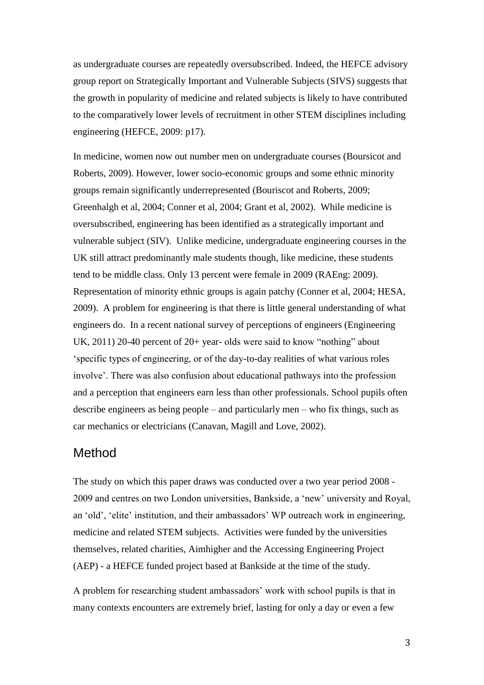as undergraduate courses are repeatedly oversubscribed. Indeed, the HEFCE advisory group report on Strategically Important and Vulnerable Subjects (SIVS) suggests that the growth in popularity of medicine and related subjects is likely to have contributed to the comparatively lower levels of recruitment in other STEM disciplines including engineering (HEFCE, 2009: p17).

In medicine, women now out number men on undergraduate courses (Boursicot and Roberts, 2009). However, lower socio-economic groups and some ethnic minority groups remain significantly underrepresented (Bouriscot and Roberts, 2009; Greenhalgh et al, 2004; Conner et al, 2004; Grant et al, 2002). While medicine is oversubscribed, engineering has been identified as a strategically important and vulnerable subject (SIV). Unlike medicine, undergraduate engineering courses in the UK still attract predominantly male students though, like medicine, these students tend to be middle class. Only 13 percent were female in 2009 (RAEng: 2009). Representation of minority ethnic groups is again patchy (Conner et al, 2004; HESA, 2009). A problem for engineering is that there is little general understanding of what engineers do. In a recent national survey of perceptions of engineers (Engineering UK, 2011) 20-40 percent of 20+ year- olds were said to know "nothing" about 'specific types of engineering, or of the day-to-day realities of what various roles involve'. There was also confusion about educational pathways into the profession and a perception that engineers earn less than other professionals. School pupils often describe engineers as being people – and particularly men – who fix things, such as car mechanics or electricians (Canavan, Magill and Love, 2002).

#### Method

The study on which this paper draws was conducted over a two year period 2008 - 2009 and centres on two London universities, Bankside, a 'new' university and Royal, an 'old', 'elite' institution, and their ambassadors' WP outreach work in engineering, medicine and related STEM subjects. Activities were funded by the universities themselves, related charities, Aimhigher and the Accessing Engineering Project (AEP) - a HEFCE funded project based at Bankside at the time of the study.

A problem for researching student ambassadors' work with school pupils is that in many contexts encounters are extremely brief, lasting for only a day or even a few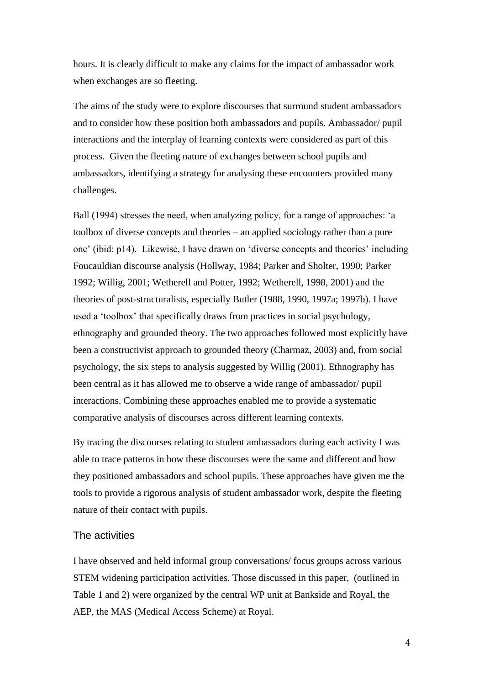hours. It is clearly difficult to make any claims for the impact of ambassador work when exchanges are so fleeting.

The aims of the study were to explore discourses that surround student ambassadors and to consider how these position both ambassadors and pupils. Ambassador/ pupil interactions and the interplay of learning contexts were considered as part of this process. Given the fleeting nature of exchanges between school pupils and ambassadors, identifying a strategy for analysing these encounters provided many challenges.

Ball (1994) stresses the need, when analyzing policy, for a range of approaches: 'a toolbox of diverse concepts and theories – an applied sociology rather than a pure one' (ibid: p14). Likewise, I have drawn on 'diverse concepts and theories' including Foucauldian discourse analysis (Hollway, 1984; Parker and Sholter, 1990; Parker 1992; Willig, 2001; Wetherell and Potter, 1992; Wetherell, 1998, 2001) and the theories of post-structuralists, especially Butler (1988, 1990, 1997a; 1997b). I have used a 'toolbox' that specifically draws from practices in social psychology, ethnography and grounded theory. The two approaches followed most explicitly have been a constructivist approach to grounded theory (Charmaz, 2003) and, from social psychology, the six steps to analysis suggested by Willig (2001). Ethnography has been central as it has allowed me to observe a wide range of ambassador/ pupil interactions. Combining these approaches enabled me to provide a systematic comparative analysis of discourses across different learning contexts.

By tracing the discourses relating to student ambassadors during each activity I was able to trace patterns in how these discourses were the same and different and how they positioned ambassadors and school pupils. These approaches have given me the tools to provide a rigorous analysis of student ambassador work, despite the fleeting nature of their contact with pupils.

#### The activities

I have observed and held informal group conversations/ focus groups across various STEM widening participation activities. Those discussed in this paper, (outlined in Table 1 and 2) were organized by the central WP unit at Bankside and Royal, the AEP, the MAS (Medical Access Scheme) at Royal.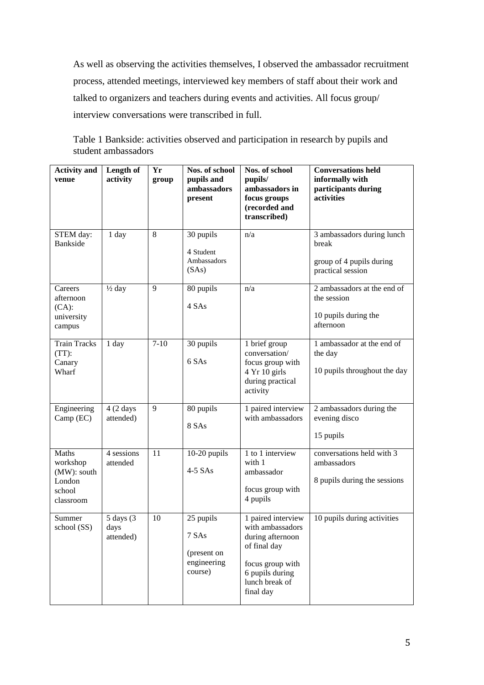As well as observing the activities themselves, I observed the ambassador recruitment process, attended meetings, interviewed key members of staff about their work and talked to organizers and teachers during events and activities. All focus group/ interview conversations were transcribed in full.

Table 1 Bankside: activities observed and participation in research by pupils and student ambassadors

| <b>Activity and</b><br>venue                                      | Length of<br>activity                     | Yr<br>group | Nos. of school<br>pupils and<br>ambassadors<br>present      | Nos. of school<br>pupils/<br>ambassadors in<br>focus groups<br>(recorded and<br>transcribed)                                                     | <b>Conversations held</b><br>informally with<br>participants during<br>activities    |
|-------------------------------------------------------------------|-------------------------------------------|-------------|-------------------------------------------------------------|--------------------------------------------------------------------------------------------------------------------------------------------------|--------------------------------------------------------------------------------------|
| STEM day:<br><b>Bankside</b>                                      | 1 day                                     | 8           | 30 pupils<br>4 Student<br>Ambassadors<br>(SAs)              | n/a                                                                                                                                              | 3 ambassadors during lunch<br>break<br>group of 4 pupils during<br>practical session |
| Careers<br>afternoon<br>$(CA)$ :<br>university<br>campus          | $\frac{1}{2}$ day                         | 9           | 80 pupils<br>4 SAs                                          | n/a                                                                                                                                              | 2 ambassadors at the end of<br>the session<br>10 pupils during the<br>afternoon      |
| <b>Train Tracks</b><br>$(TT)$ :<br>Canary<br>Wharf                | 1 day                                     | $7 - 10$    | 30 pupils<br>6 SAs                                          | 1 brief group<br>conversation/<br>focus group with<br>4 Yr 10 girls<br>during practical<br>activity                                              | 1 ambassador at the end of<br>the day<br>10 pupils throughout the day                |
| Engineering<br>Camp (EC)                                          | $4(2 \text{ days})$<br>attended)          | 9           | 80 pupils<br>8 SAs                                          | 1 paired interview<br>with ambassadors                                                                                                           | 2 ambassadors during the<br>evening disco<br>15 pupils                               |
| Maths<br>workshop<br>(MW): south<br>London<br>school<br>classroom | 4 sessions<br>attended                    | 11          | 10-20 pupils<br>$4-5$ SAs                                   | 1 to 1 interview<br>with 1<br>ambassador<br>focus group with<br>4 pupils                                                                         | conversations held with 3<br>ambassadors<br>8 pupils during the sessions             |
| Summer<br>school (SS)                                             | $5 \text{ days}$ (3)<br>days<br>attended) | 10          | 25 pupils<br>7 SAs<br>(present on<br>engineering<br>course) | 1 paired interview<br>with ambassadors<br>during afternoon<br>of final day<br>focus group with<br>6 pupils during<br>lunch break of<br>final day | 10 pupils during activities                                                          |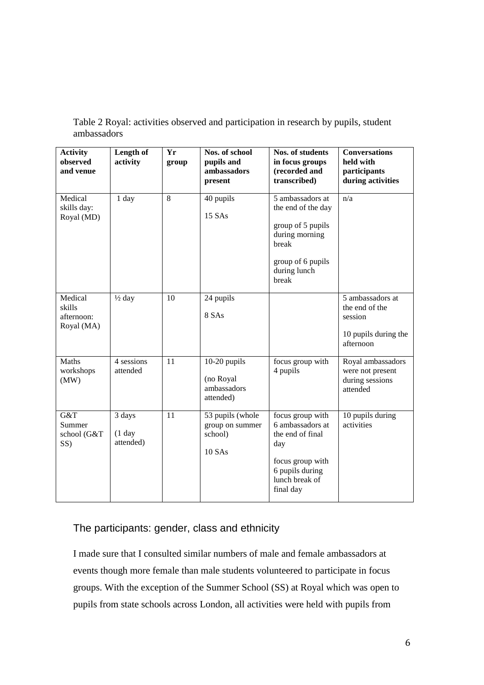| <b>Activity</b><br>observed<br>and venue      | Length of<br>activity           | Yr<br>group | Nos. of school<br>pupils and<br>ambassadors<br>present          | Nos. of students<br>in focus groups<br>(recorded and<br>transcribed)                                                                  | <b>Conversations</b><br>held with<br>participants<br>during activities             |
|-----------------------------------------------|---------------------------------|-------------|-----------------------------------------------------------------|---------------------------------------------------------------------------------------------------------------------------------------|------------------------------------------------------------------------------------|
| Medical<br>skills day:<br>Royal (MD)          | 1 day                           | 8           | 40 pupils<br>15 SAs                                             | 5 ambassadors at<br>the end of the day<br>group of 5 pupils<br>during morning<br>break<br>group of 6 pupils<br>during lunch<br>break  | n/a                                                                                |
| Medical<br>skills<br>afternoon:<br>Royal (MA) | $\frac{1}{2}$ day               | 10          | 24 pupils<br>8 SAs                                              |                                                                                                                                       | 5 ambassadors at<br>the end of the<br>session<br>10 pupils during the<br>afternoon |
| Maths<br>workshops<br>(MW)                    | 4 sessions<br>attended          | 11          | $10-20$ pupils<br>(no Royal<br>ambassadors<br>attended)         | focus group with<br>4 pupils                                                                                                          | Royal ambassadors<br>were not present<br>during sessions<br>attended               |
| G&T<br>Summer<br>school (G&T<br>SS)           | 3 days<br>$(1$ day<br>attended) | 11          | 53 pupils (whole<br>group on summer<br>school)<br><b>10 SAs</b> | focus group with<br>6 ambassadors at<br>the end of final<br>day<br>focus group with<br>6 pupils during<br>lunch break of<br>final day | 10 pupils during<br>activities                                                     |

Table 2 Royal: activities observed and participation in research by pupils, student ambassadors

#### The participants: gender, class and ethnicity

I made sure that I consulted similar numbers of male and female ambassadors at events though more female than male students volunteered to participate in focus groups. With the exception of the Summer School (SS) at Royal which was open to pupils from state schools across London, all activities were held with pupils from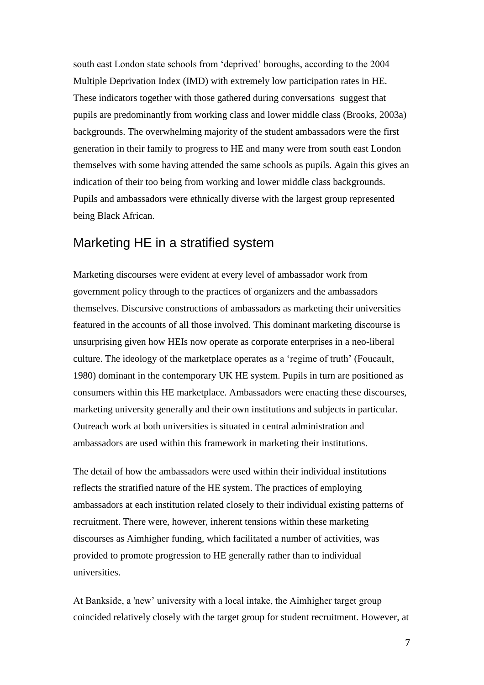south east London state schools from 'deprived' boroughs, according to the 2004 Multiple Deprivation Index (IMD) with extremely low participation rates in HE. These indicators together with those gathered during conversations suggest that pupils are predominantly from working class and lower middle class (Brooks, 2003a) backgrounds. The overwhelming majority of the student ambassadors were the first generation in their family to progress to HE and many were from south east London themselves with some having attended the same schools as pupils. Again this gives an indication of their too being from working and lower middle class backgrounds. Pupils and ambassadors were ethnically diverse with the largest group represented being Black African.

### Marketing HE in a stratified system

Marketing discourses were evident at every level of ambassador work from government policy through to the practices of organizers and the ambassadors themselves. Discursive constructions of ambassadors as marketing their universities featured in the accounts of all those involved. This dominant marketing discourse is unsurprising given how HEIs now operate as corporate enterprises in a neo-liberal culture. The ideology of the marketplace operates as a 'regime of truth' (Foucault, 1980) dominant in the contemporary UK HE system. Pupils in turn are positioned as consumers within this HE marketplace. Ambassadors were enacting these discourses, marketing university generally and their own institutions and subjects in particular. Outreach work at both universities is situated in central administration and ambassadors are used within this framework in marketing their institutions.

The detail of how the ambassadors were used within their individual institutions reflects the stratified nature of the HE system. The practices of employing ambassadors at each institution related closely to their individual existing patterns of recruitment. There were, however, inherent tensions within these marketing discourses as Aimhigher funding, which facilitated a number of activities, was provided to promote progression to HE generally rather than to individual universities.

At Bankside, a 'new' university with a local intake, the Aimhigher target group coincided relatively closely with the target group for student recruitment. However, at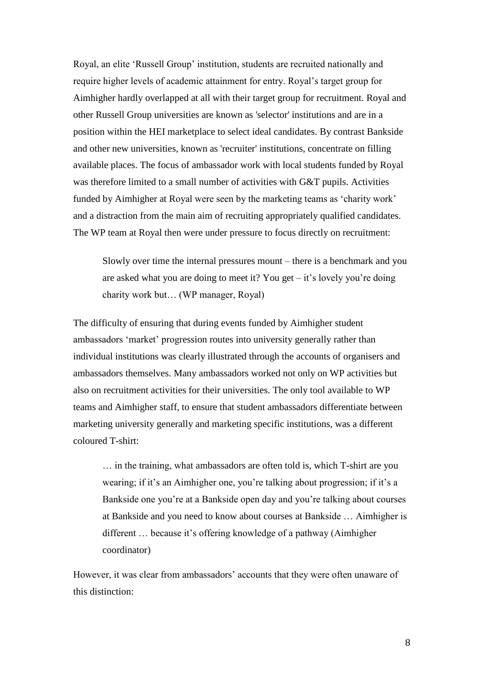Royal, an elite 'Russell Group' institution, students are recruited nationally and require higher levels of academic attainment for entry. Royal's target group for Aimhigher hardly overlapped at all with their target group for recruitment. Royal and other Russell Group universities are known as 'selector' institutions and are in a position within the HEI marketplace to select ideal candidates. By contrast Bankside and other new universities, known as 'recruiter' institutions, concentrate on filling available places. The focus of ambassador work with local students funded by Royal was therefore limited to a small number of activities with G&T pupils. Activities funded by Aimhigher at Royal were seen by the marketing teams as 'charity work' and a distraction from the main aim of recruiting appropriately qualified candidates. The WP team at Royal then were under pressure to focus directly on recruitment:

Slowly over time the internal pressures mount – there is a benchmark and you are asked what you are doing to meet it? You get  $-$  it's lovely you're doing charity work but… (WP manager, Royal)

The difficulty of ensuring that during events funded by Aimhigher student ambassadors 'market' progression routes into university generally rather than individual institutions was clearly illustrated through the accounts of organisers and ambassadors themselves. Many ambassadors worked not only on WP activities but also on recruitment activities for their universities. The only tool available to WP teams and Aimhigher staff, to ensure that student ambassadors differentiate between marketing university generally and marketing specific institutions, was a different coloured T-shirt:

… in the training, what ambassadors are often told is, which T-shirt are you wearing; if it's an Aimhigher one, you're talking about progression; if it's a Bankside one you're at a Bankside open day and you're talking about courses at Bankside and you need to know about courses at Bankside … Aimhigher is different … because it's offering knowledge of a pathway (Aimhigher coordinator)

However, it was clear from ambassadors' accounts that they were often unaware of this distinction: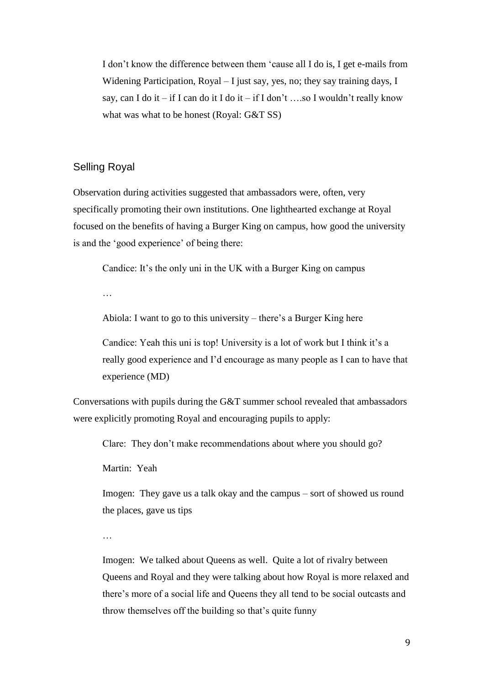I don't know the difference between them 'cause all I do is, I get e-mails from Widening Participation, Royal – I just say, yes, no; they say training days, I say, can I do it – if I can do it I do it – if I don't …so I wouldn't really know what was what to be honest (Royal: G&T SS)

#### Selling Royal

Observation during activities suggested that ambassadors were, often, very specifically promoting their own institutions. One lighthearted exchange at Royal focused on the benefits of having a Burger King on campus, how good the university is and the 'good experience' of being there:

Candice: It's the only uni in the UK with a Burger King on campus

…

Abiola: I want to go to this university – there's a Burger King here

Candice: Yeah this uni is top! University is a lot of work but I think it's a really good experience and I'd encourage as many people as I can to have that experience (MD)

Conversations with pupils during the G&T summer school revealed that ambassadors were explicitly promoting Royal and encouraging pupils to apply:

Clare: They don't make recommendations about where you should go?

Martin: Yeah

Imogen: They gave us a talk okay and the campus – sort of showed us round the places, gave us tips

…

Imogen: We talked about Queens as well. Quite a lot of rivalry between Queens and Royal and they were talking about how Royal is more relaxed and there's more of a social life and Queens they all tend to be social outcasts and throw themselves off the building so that's quite funny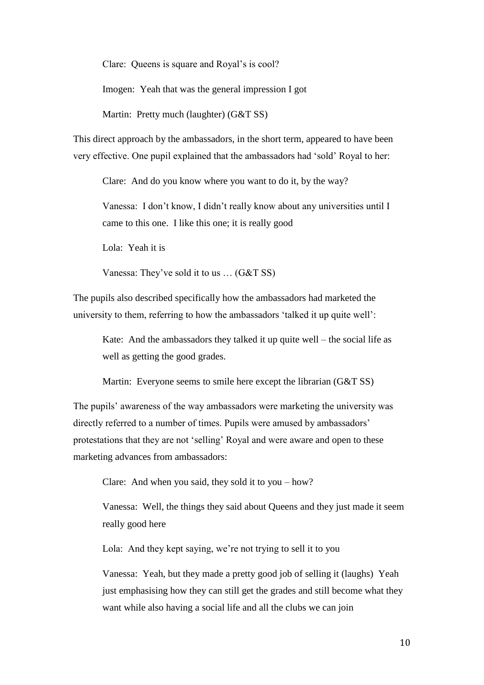Clare: Queens is square and Royal's is cool?

Imogen: Yeah that was the general impression I got

Martin: Pretty much (laughter) (G&T SS)

This direct approach by the ambassadors, in the short term, appeared to have been very effective. One pupil explained that the ambassadors had 'sold' Royal to her:

Clare: And do you know where you want to do it, by the way?

Vanessa: I don't know, I didn't really know about any universities until I came to this one. I like this one; it is really good

Lola: Yeah it is

Vanessa: They've sold it to us … (G&T SS)

The pupils also described specifically how the ambassadors had marketed the university to them, referring to how the ambassadors 'talked it up quite well':

Kate: And the ambassadors they talked it up quite well – the social life as well as getting the good grades.

Martin: Everyone seems to smile here except the librarian (G&T SS)

The pupils' awareness of the way ambassadors were marketing the university was directly referred to a number of times. Pupils were amused by ambassadors' protestations that they are not 'selling' Royal and were aware and open to these marketing advances from ambassadors:

Clare: And when you said, they sold it to you – how?

Vanessa: Well, the things they said about Queens and they just made it seem really good here

Lola: And they kept saying, we're not trying to sell it to you

Vanessa: Yeah, but they made a pretty good job of selling it (laughs) Yeah just emphasising how they can still get the grades and still become what they want while also having a social life and all the clubs we can join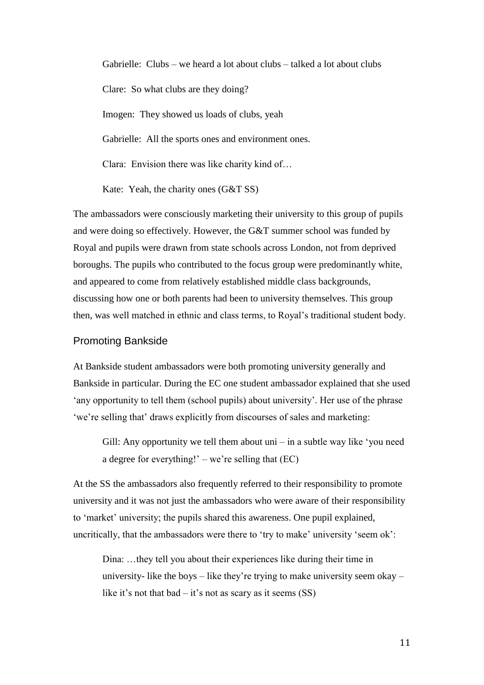Gabrielle: Clubs – we heard a lot about clubs – talked a lot about clubs Clare: So what clubs are they doing? Imogen: They showed us loads of clubs, yeah Gabrielle: All the sports ones and environment ones. Clara: Envision there was like charity kind of…

Kate: Yeah, the charity ones (G&T SS)

The ambassadors were consciously marketing their university to this group of pupils and were doing so effectively. However, the G&T summer school was funded by Royal and pupils were drawn from state schools across London, not from deprived boroughs. The pupils who contributed to the focus group were predominantly white, and appeared to come from relatively established middle class backgrounds, discussing how one or both parents had been to university themselves. This group then, was well matched in ethnic and class terms, to Royal's traditional student body.

#### Promoting Bankside

At Bankside student ambassadors were both promoting university generally and Bankside in particular. During the EC one student ambassador explained that she used 'any opportunity to tell them (school pupils) about university'. Her use of the phrase 'we're selling that' draws explicitly from discourses of sales and marketing:

Gill: Any opportunity we tell them about uni – in a subtle way like 'you need a degree for everything!' – we're selling that  $(EC)$ 

At the SS the ambassadors also frequently referred to their responsibility to promote university and it was not just the ambassadors who were aware of their responsibility to 'market' university; the pupils shared this awareness. One pupil explained, uncritically, that the ambassadors were there to 'try to make' university 'seem ok':

Dina: …they tell you about their experiences like during their time in university- like the boys – like they're trying to make university seem okay – like it's not that bad – it's not as scary as it seems  $(SS)$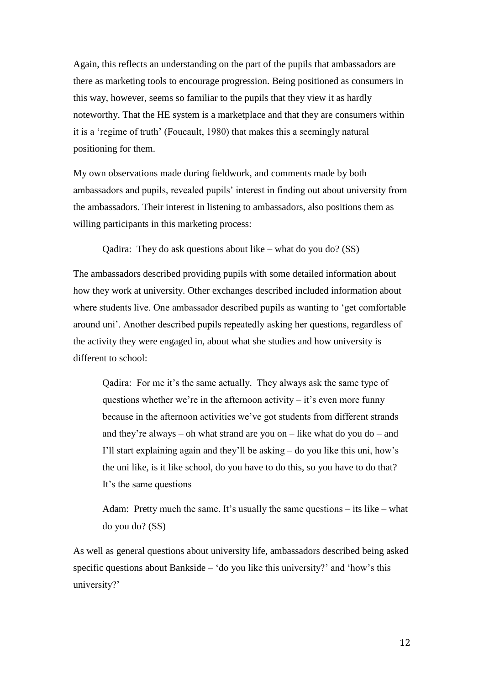Again, this reflects an understanding on the part of the pupils that ambassadors are there as marketing tools to encourage progression. Being positioned as consumers in this way, however, seems so familiar to the pupils that they view it as hardly noteworthy. That the HE system is a marketplace and that they are consumers within it is a 'regime of truth' (Foucault, 1980) that makes this a seemingly natural positioning for them.

My own observations made during fieldwork, and comments made by both ambassadors and pupils, revealed pupils' interest in finding out about university from the ambassadors. Their interest in listening to ambassadors, also positions them as willing participants in this marketing process:

Qadira: They do ask questions about like – what do you do? (SS)

The ambassadors described providing pupils with some detailed information about how they work at university. Other exchanges described included information about where students live. One ambassador described pupils as wanting to 'get comfortable around uni'. Another described pupils repeatedly asking her questions, regardless of the activity they were engaged in, about what she studies and how university is different to school:

Qadira: For me it's the same actually. They always ask the same type of questions whether we're in the afternoon activity  $-$  it's even more funny because in the afternoon activities we've got students from different strands and they're always – oh what strand are you on – like what do you do – and I'll start explaining again and they'll be asking – do you like this uni, how's the uni like, is it like school, do you have to do this, so you have to do that? It's the same questions

Adam: Pretty much the same. It's usually the same questions  $-$  its like  $-$  what do you do? (SS)

As well as general questions about university life, ambassadors described being asked specific questions about Bankside – 'do you like this university?' and 'how's this university?'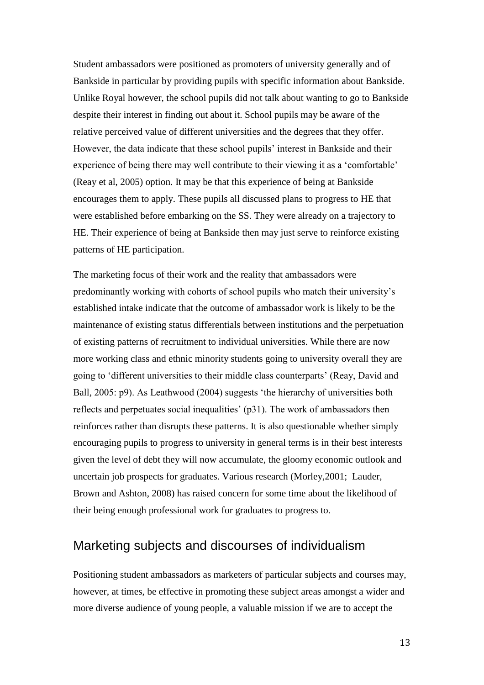Student ambassadors were positioned as promoters of university generally and of Bankside in particular by providing pupils with specific information about Bankside. Unlike Royal however, the school pupils did not talk about wanting to go to Bankside despite their interest in finding out about it. School pupils may be aware of the relative perceived value of different universities and the degrees that they offer. However, the data indicate that these school pupils' interest in Bankside and their experience of being there may well contribute to their viewing it as a 'comfortable' (Reay et al, 2005) option. It may be that this experience of being at Bankside encourages them to apply. These pupils all discussed plans to progress to HE that were established before embarking on the SS. They were already on a trajectory to HE. Their experience of being at Bankside then may just serve to reinforce existing patterns of HE participation.

The marketing focus of their work and the reality that ambassadors were predominantly working with cohorts of school pupils who match their university's established intake indicate that the outcome of ambassador work is likely to be the maintenance of existing status differentials between institutions and the perpetuation of existing patterns of recruitment to individual universities. While there are now more working class and ethnic minority students going to university overall they are going to 'different universities to their middle class counterparts' (Reay, David and Ball, 2005: p9). As Leathwood (2004) suggests 'the hierarchy of universities both reflects and perpetuates social inequalities' (p31). The work of ambassadors then reinforces rather than disrupts these patterns. It is also questionable whether simply encouraging pupils to progress to university in general terms is in their best interests given the level of debt they will now accumulate, the gloomy economic outlook and uncertain job prospects for graduates. Various research (Morley,2001; Lauder, Brown and Ashton, 2008) has raised concern for some time about the likelihood of their being enough professional work for graduates to progress to.

### Marketing subjects and discourses of individualism

Positioning student ambassadors as marketers of particular subjects and courses may, however, at times, be effective in promoting these subject areas amongst a wider and more diverse audience of young people, a valuable mission if we are to accept the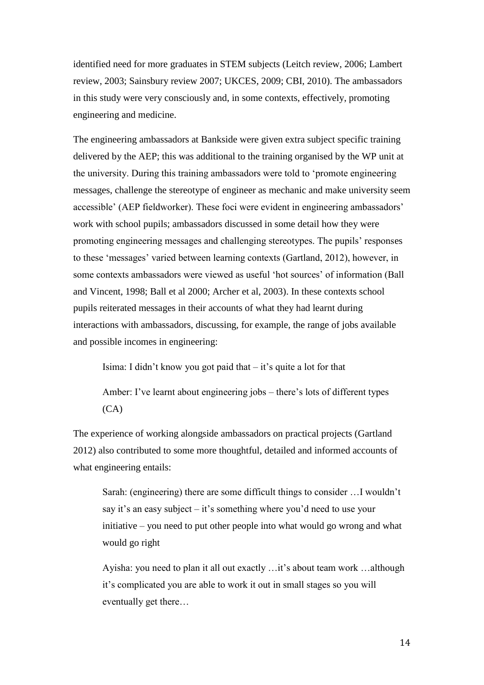identified need for more graduates in STEM subjects (Leitch review, 2006; Lambert review, 2003; Sainsbury review 2007; UKCES, 2009; CBI, 2010). The ambassadors in this study were very consciously and, in some contexts, effectively, promoting engineering and medicine.

The engineering ambassadors at Bankside were given extra subject specific training delivered by the AEP; this was additional to the training organised by the WP unit at the university. During this training ambassadors were told to 'promote engineering messages, challenge the stereotype of engineer as mechanic and make university seem accessible' (AEP fieldworker). These foci were evident in engineering ambassadors' work with school pupils; ambassadors discussed in some detail how they were promoting engineering messages and challenging stereotypes. The pupils' responses to these 'messages' varied between learning contexts (Gartland, 2012), however, in some contexts ambassadors were viewed as useful 'hot sources' of information (Ball and Vincent, 1998; Ball et al 2000; Archer et al, 2003). In these contexts school pupils reiterated messages in their accounts of what they had learnt during interactions with ambassadors, discussing, for example, the range of jobs available and possible incomes in engineering:

Isima: I didn't know you got paid that – it's quite a lot for that

Amber: I've learnt about engineering jobs – there's lots of different types (CA)

The experience of working alongside ambassadors on practical projects (Gartland 2012) also contributed to some more thoughtful, detailed and informed accounts of what engineering entails:

Sarah: (engineering) there are some difficult things to consider …I wouldn't say it's an easy subject – it's something where you'd need to use your initiative – you need to put other people into what would go wrong and what would go right

Ayisha: you need to plan it all out exactly …it's about team work …although it's complicated you are able to work it out in small stages so you will eventually get there…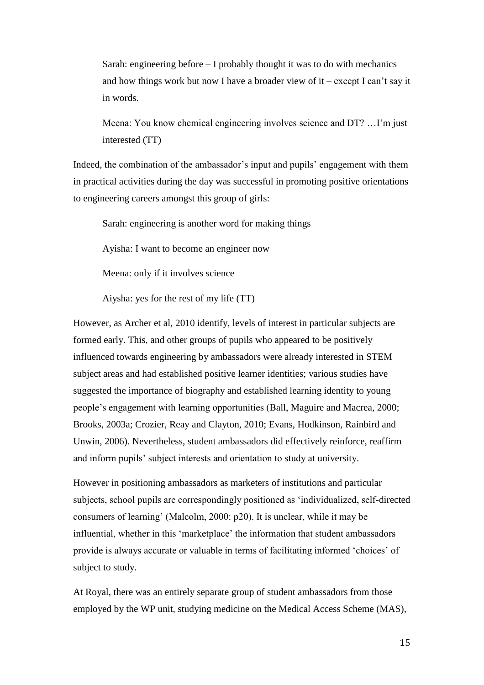Sarah: engineering before – I probably thought it was to do with mechanics and how things work but now I have a broader view of it – except I can't say it in words.

Meena: You know chemical engineering involves science and DT? …I'm just interested (TT)

Indeed, the combination of the ambassador's input and pupils' engagement with them in practical activities during the day was successful in promoting positive orientations to engineering careers amongst this group of girls:

Sarah: engineering is another word for making things

Ayisha: I want to become an engineer now

Meena: only if it involves science

Aiysha: yes for the rest of my life (TT)

However, as Archer et al, 2010 identify, levels of interest in particular subjects are formed early. This, and other groups of pupils who appeared to be positively influenced towards engineering by ambassadors were already interested in STEM subject areas and had established positive learner identities; various studies have suggested the importance of biography and established learning identity to young people's engagement with learning opportunities (Ball, Maguire and Macrea, 2000; Brooks, 2003a; Crozier, Reay and Clayton, 2010; Evans, Hodkinson, Rainbird and Unwin, 2006). Nevertheless, student ambassadors did effectively reinforce, reaffirm and inform pupils' subject interests and orientation to study at university.

However in positioning ambassadors as marketers of institutions and particular subjects, school pupils are correspondingly positioned as 'individualized, self-directed consumers of learning' (Malcolm, 2000: p20). It is unclear, while it may be influential, whether in this 'marketplace' the information that student ambassadors provide is always accurate or valuable in terms of facilitating informed 'choices' of subject to study.

At Royal, there was an entirely separate group of student ambassadors from those employed by the WP unit, studying medicine on the Medical Access Scheme (MAS),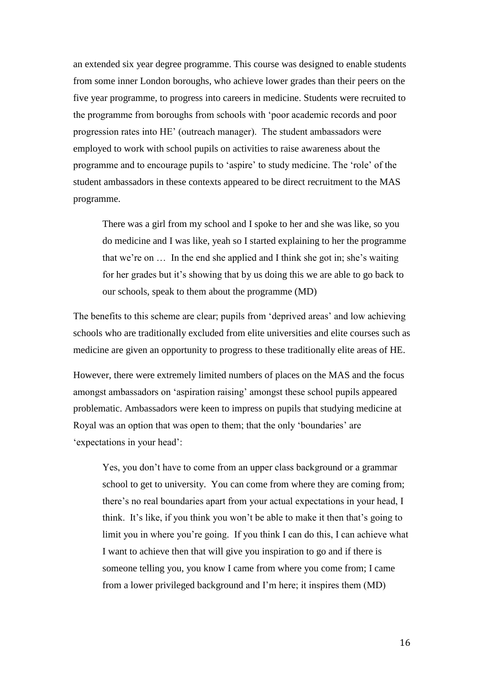an extended six year degree programme. This course was designed to enable students from some inner London boroughs, who achieve lower grades than their peers on the five year programme, to progress into careers in medicine. Students were recruited to the programme from boroughs from schools with 'poor academic records and poor progression rates into HE' (outreach manager). The student ambassadors were employed to work with school pupils on activities to raise awareness about the programme and to encourage pupils to 'aspire' to study medicine. The 'role' of the student ambassadors in these contexts appeared to be direct recruitment to the MAS programme.

There was a girl from my school and I spoke to her and she was like, so you do medicine and I was like, yeah so I started explaining to her the programme that we're on … In the end she applied and I think she got in; she's waiting for her grades but it's showing that by us doing this we are able to go back to our schools, speak to them about the programme (MD)

The benefits to this scheme are clear; pupils from 'deprived areas' and low achieving schools who are traditionally excluded from elite universities and elite courses such as medicine are given an opportunity to progress to these traditionally elite areas of HE.

However, there were extremely limited numbers of places on the MAS and the focus amongst ambassadors on 'aspiration raising' amongst these school pupils appeared problematic. Ambassadors were keen to impress on pupils that studying medicine at Royal was an option that was open to them; that the only 'boundaries' are 'expectations in your head':

Yes, you don't have to come from an upper class background or a grammar school to get to university. You can come from where they are coming from; there's no real boundaries apart from your actual expectations in your head, I think. It's like, if you think you won't be able to make it then that's going to limit you in where you're going. If you think I can do this, I can achieve what I want to achieve then that will give you inspiration to go and if there is someone telling you, you know I came from where you come from; I came from a lower privileged background and I'm here; it inspires them (MD)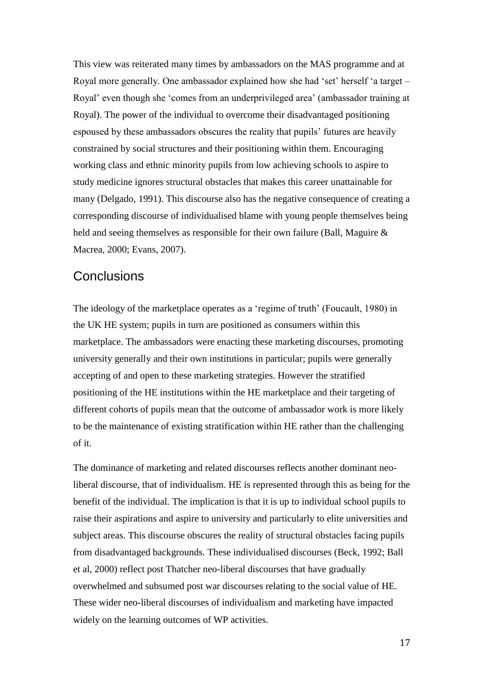This view was reiterated many times by ambassadors on the MAS programme and at Royal more generally. One ambassador explained how she had 'set' herself 'a target – Royal' even though she 'comes from an underprivileged area' (ambassador training at Royal). The power of the individual to overcome their disadvantaged positioning espoused by these ambassadors obscures the reality that pupils' futures are heavily constrained by social structures and their positioning within them. Encouraging working class and ethnic minority pupils from low achieving schools to aspire to study medicine ignores structural obstacles that makes this career unattainable for many (Delgado, 1991). This discourse also has the negative consequence of creating a corresponding discourse of individualised blame with young people themselves being held and seeing themselves as responsible for their own failure (Ball, Maguire  $\&$ Macrea, 2000; Evans, 2007).

#### **Conclusions**

The ideology of the marketplace operates as a 'regime of truth' (Foucault, 1980) in the UK HE system; pupils in turn are positioned as consumers within this marketplace. The ambassadors were enacting these marketing discourses, promoting university generally and their own institutions in particular; pupils were generally accepting of and open to these marketing strategies. However the stratified positioning of the HE institutions within the HE marketplace and their targeting of different cohorts of pupils mean that the outcome of ambassador work is more likely to be the maintenance of existing stratification within HE rather than the challenging of it.

The dominance of marketing and related discourses reflects another dominant neoliberal discourse, that of individualism. HE is represented through this as being for the benefit of the individual. The implication is that it is up to individual school pupils to raise their aspirations and aspire to university and particularly to elite universities and subject areas. This discourse obscures the reality of structural obstacles facing pupils from disadvantaged backgrounds. These individualised discourses (Beck, 1992; Ball et al, 2000) reflect post Thatcher neo-liberal discourses that have gradually overwhelmed and subsumed post war discourses relating to the social value of HE. These wider neo-liberal discourses of individualism and marketing have impacted widely on the learning outcomes of WP activities.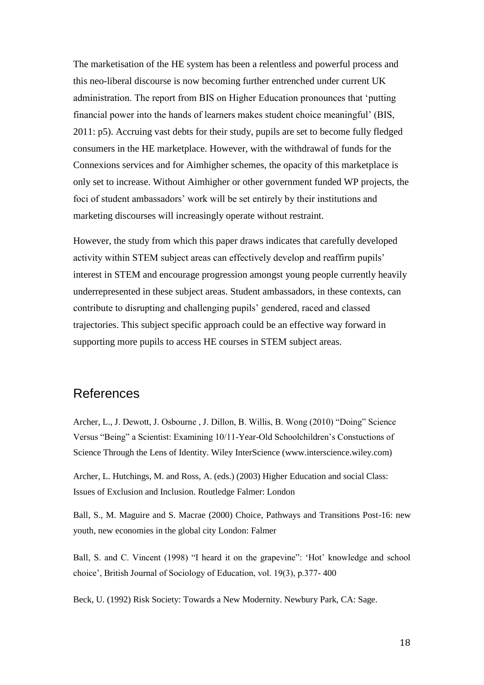The marketisation of the HE system has been a relentless and powerful process and this neo-liberal discourse is now becoming further entrenched under current UK administration. The report from BIS on Higher Education pronounces that 'putting financial power into the hands of learners makes student choice meaningful' (BIS, 2011: p5). Accruing vast debts for their study, pupils are set to become fully fledged consumers in the HE marketplace. However, with the withdrawal of funds for the Connexions services and for Aimhigher schemes, the opacity of this marketplace is only set to increase. Without Aimhigher or other government funded WP projects, the foci of student ambassadors' work will be set entirely by their institutions and marketing discourses will increasingly operate without restraint.

However, the study from which this paper draws indicates that carefully developed activity within STEM subject areas can effectively develop and reaffirm pupils' interest in STEM and encourage progression amongst young people currently heavily underrepresented in these subject areas. Student ambassadors, in these contexts, can contribute to disrupting and challenging pupils' gendered, raced and classed trajectories. This subject specific approach could be an effective way forward in supporting more pupils to access HE courses in STEM subject areas.

## References

Archer, L., J. Dewott, J. Osbourne , J. Dillon, B. Willis, B. Wong (2010) "Doing" Science Versus "Being" a Scientist: Examining 10/11-Year-Old Schoolchildren's Constuctions of Science Through the Lens of Identity. Wiley InterScience (www.interscience.wiley.com)

Archer, L. Hutchings, M. and Ross, A. (eds.) (2003) Higher Education and social Class: Issues of Exclusion and Inclusion. Routledge Falmer: London

Ball, S., M. Maguire and S. Macrae (2000) Choice, Pathways and Transitions Post-16: new youth, new economies in the global city London: Falmer

Ball, S. and C. Vincent (1998) "I heard it on the grapevine": 'Hot' knowledge and school choice', British Journal of Sociology of Education, vol. 19(3), p.377- 400

Beck, U. (1992) Risk Society: Towards a New Modernity. Newbury Park, CA: Sage.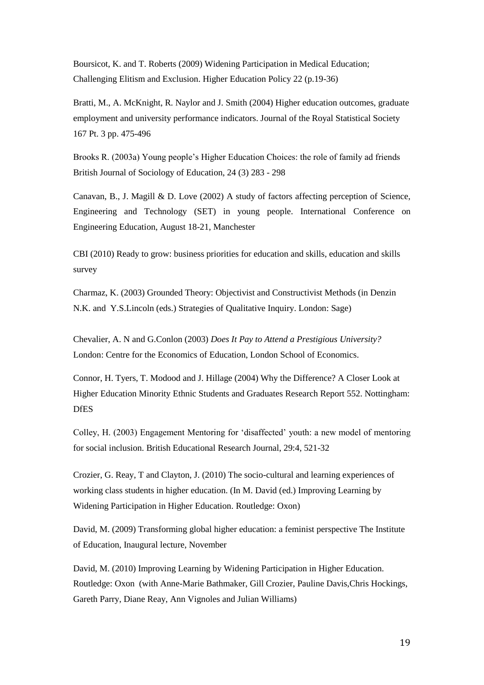Boursicot, K. and T. Roberts (2009) Widening Participation in Medical Education; Challenging Elitism and Exclusion. Higher Education Policy 22 (p.19-36)

Bratti, M., A. McKnight, R. Naylor and J. Smith (2004) Higher education outcomes, graduate employment and university performance indicators. Journal of the Royal Statistical Society 167 Pt. 3 pp. 475-496

Brooks R. (2003a) Young people's Higher Education Choices: the role of family ad friends British Journal of Sociology of Education, 24 (3) 283 - 298

Canavan, B., J. Magill & D. Love (2002) A study of factors affecting perception of Science, Engineering and Technology (SET) in young people. International Conference on Engineering Education, August 18-21, Manchester

CBI (2010) Ready to grow: business priorities for education and skills, education and skills survey

Charmaz, K. (2003) Grounded Theory: Objectivist and Constructivist Methods (in Denzin N.K. and Y.S.Lincoln (eds.) Strategies of Qualitative Inquiry. London: Sage)

Chevalier, A. N and G.Conlon (2003) *Does It Pay to Attend a Prestigious University?*  London: Centre for the Economics of Education, London School of Economics.

Connor, H. Tyers, T. Modood and J. Hillage (2004) Why the Difference? A Closer Look at Higher Education Minority Ethnic Students and Graduates Research Report 552. Nottingham: DfES

Colley, H. (2003) Engagement Mentoring for 'disaffected' youth: a new model of mentoring for social inclusion. British Educational Research Journal, 29:4, 521-32

Crozier, G. Reay, T and Clayton, J. (2010) The socio-cultural and learning experiences of working class students in higher education. (In M. David (ed.) Improving Learning by Widening Participation in Higher Education. Routledge: Oxon)

David, M. (2009) Transforming global higher education: a feminist perspective The Institute of Education, Inaugural lecture, November

David, M. (2010) Improving Learning by Widening Participation in Higher Education. Routledge: Oxon (with Anne-Marie Bathmaker, Gill Crozier, Pauline Davis,Chris Hockings, Gareth Parry, Diane Reay, Ann Vignoles and Julian Williams)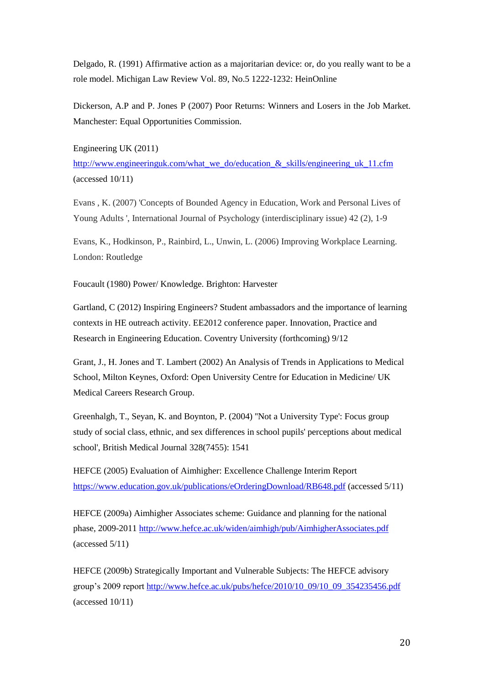Delgado, R. (1991) Affirmative action as a majoritarian device: or, do you really want to be a role model. Michigan Law Review Vol. 89, No.5 1222-1232: HeinOnline

Dickerson, A.P and P. Jones P (2007) Poor Returns: Winners and Losers in the Job Market. Manchester: Equal Opportunities Commission.

Engineering UK (2011)

[http://www.engineeringuk.com/what\\_we\\_do/education\\_&\\_skills/engineering\\_uk\\_11.cfm](http://www.engineeringuk.com/what_we_do/education_&_skills/engineering_uk_11.cfm) (accessed 10/11)

Evans , K. (2007) 'Concepts of Bounded Agency in Education, Work and Personal Lives of Young Adults ', International Journal of Psychology (interdisciplinary issue) 42 (2), 1-9

Evans, K., Hodkinson, P., Rainbird, L., Unwin, L. (2006) Improving Workplace Learning. London: Routledge

Foucault (1980) Power/ Knowledge. Brighton: Harvester

Gartland, C (2012) Inspiring Engineers? Student ambassadors and the importance of learning contexts in HE outreach activity. EE2012 conference paper. Innovation, Practice and Research in Engineering Education. Coventry University (forthcoming) 9/12

Grant, J., H. Jones and T. Lambert (2002) An Analysis of Trends in Applications to Medical School, Milton Keynes, Oxford: Open University Centre for Education in Medicine/ UK Medical Careers Research Group.

Greenhalgh, T., Seyan, K. and Boynton, P. (2004) ''Not a University Type': Focus group study of social class, ethnic, and sex differences in school pupils' perceptions about medical school', British Medical Journal 328(7455): 1541

HEFCE (2005) Evaluation of Aimhigher: Excellence Challenge Interim Report <https://www.education.gov.uk/publications/eOrderingDownload/RB648.pdf> (accessed 5/11)

HEFCE (2009a) Aimhigher Associates scheme: Guidance and planning for the national phase, 2009-2011<http://www.hefce.ac.uk/widen/aimhigh/pub/AimhigherAssociates.pdf> (accessed 5/11)

HEFCE (2009b) Strategically Important and Vulnerable Subjects: The HEFCE advisory group's 2009 report [http://www.hefce.ac.uk/pubs/hefce/2010/10\\_09/10\\_09\\_354235456.pdf](http://www.hefce.ac.uk/pubs/hefce/2010/10_09/10_09_354235456.pdf) (accessed 10/11)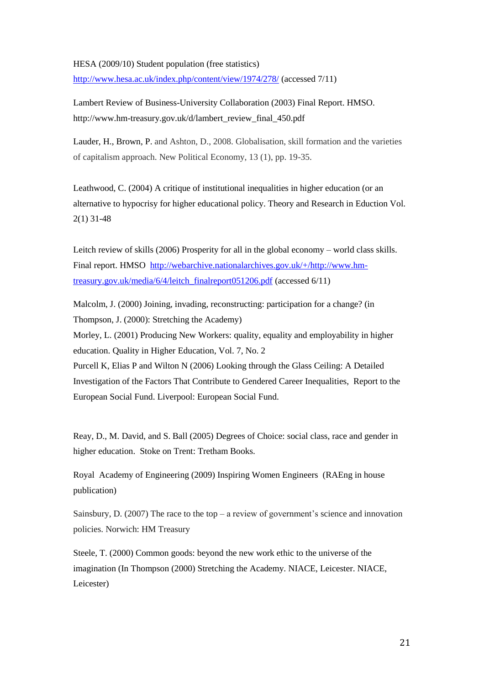#### HESA (2009/10) Student population (free statistics)

<http://www.hesa.ac.uk/index.php/content/view/1974/278/> (accessed 7/11)

Lambert Review of Business-University Collaboration (2003) Final Report. HMSO. http://www.hm-treasury.gov.uk/d/lambert\_review\_final\_450.pdf

[Lauder, H.,](http://opus.bath.ac.uk/view/person_id/545.html) [Brown, P.](http://opus.bath.ac.uk/view/person_id/3369.html) and Ashton, D., 2008. Globalisation, skill formation and the varieties of capitalism approach. New Political Economy, 13 (1), pp. 19-35.

Leathwood, C. (2004) A critique of institutional inequalities in higher education (or an alternative to hypocrisy for higher educational policy. Theory and Research in Eduction Vol. 2(1) 31-48

Leitch review of skills (2006) Prosperity for all in the global economy – world class skills. Final report. HMSO [http://webarchive.nationalarchives.gov.uk/+/http://www.hm](http://webarchive.nationalarchives.gov.uk/+/http:/www.hm-treasury.gov.uk/media/6/4/leitch_finalreport051206.pdf)[treasury.gov.uk/media/6/4/leitch\\_finalreport051206.pdf](http://webarchive.nationalarchives.gov.uk/+/http:/www.hm-treasury.gov.uk/media/6/4/leitch_finalreport051206.pdf) (accessed 6/11)

Malcolm, J. (2000) Joining, invading, reconstructing: participation for a change? (in Thompson, J. (2000): Stretching the Academy) Morley, L. (2001) Producing New Workers: quality, equality and employability in higher education. Quality in Higher Education, Vol. 7, No. 2 Purcell K, Elias P and Wilton N (2006) Looking through the Glass Ceiling: A Detailed Investigation of the Factors That Contribute to Gendered Career Inequalities, Report to the European Social Fund. Liverpool: European Social Fund.

Reay, D., M. David, and S. Ball (2005) Degrees of Choice: social class, race and gender in higher education. Stoke on Trent: Tretham Books.

Royal Academy of Engineering (2009) Inspiring Women Engineers (RAEng in house publication)

Sainsbury, D. (2007) The race to the top – a review of government's science and innovation policies. Norwich: HM Treasury

Steele, T. (2000) Common goods: beyond the new work ethic to the universe of the imagination (In Thompson (2000) Stretching the Academy. NIACE, Leicester. NIACE, Leicester)